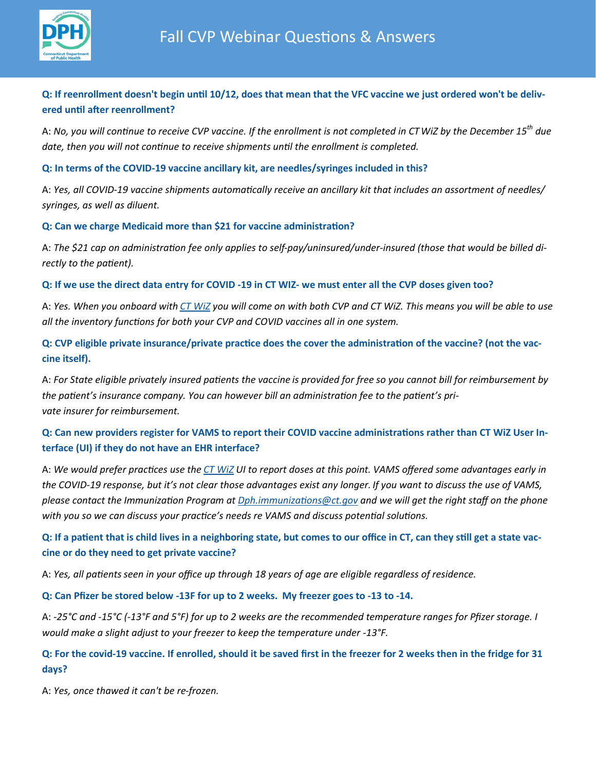

# **Q: If reenrollment doesn't begin until 10/12, does that mean that the VFC vaccine we just ordered won't be delivered until after reenrollment?**

A: *No, you will continue to receive CVP vaccine. If the enrollment is not completed in CTWiZ by the December 15th due date, then you will not continue to receive shipments until the enrollment is completed.* 

# **Q: In terms of the COVID-19 vaccine ancillary kit, are needles/syringes included in this?**

A: *Yes, all COVID-19 vaccine shipments automatically receive an ancillary kit that includes an assortment of needles/ syringes, as well as diluent.* 

# **Q: Can we charge Medicaid more than \$21 for vaccine administration?**

A: *The \$21 cap on administration fee only applies to self-pay/uninsured/under-insured (those that would be billed directly to the patient).*

# **Q: If we use the direct data entry for COVID -19 in CT WIZ- we must enter all the CVP doses given too?**

A: *Yes. When you onboard with [CT WiZ](https://portal.ct.gov/DPH/Immunizations/ALL-ABOUT-CT-WiZ) you will come on with both CVP and CT WiZ. This means you will be able to use all the inventory functions for both your CVP and COVID vaccines all in one system.*

**Q: CVP eligible private insurance/private practice does the cover the administration of the vaccine? (not the vaccine itself).** 

A: *For State eligible privately insured patients the vaccine is provided for free so you cannot bill for reimbursement by the patient's insurance company. You can however bill an administration fee to the patient's private insurer for reimbursement.*

# **Q: Can new providers register for VAMS to report their COVID vaccine administrations rather than CT WiZ User Interface (UI) if they do not have an EHR interface?**

A: *We would prefer practices use the [CT WiZ](https://portal.ct.gov/DPH/Immunizations/CT-WiZ-Training) UI to report doses at this point. VAMS offered some advantages early in the COVID-19 response, but it's not clear those advantages exist any longer. If you want to discuss the use of VAMS, please contact the Immunization Program at [Dph.immunizations@ct.gov](mailto:Dph.immunizations@ct.gov) and we will get the right staff on the phone with you so we can discuss your practice's needs re VAMS and discuss potential solutions.* 

# **Q: If a patient that is child lives in a neighboring state, but comes to our office in CT, can they still get a state vaccine or do they need to get private vaccine?**

A: *Yes, all patients seen in your office up through 18 years of age are eligible regardless of residence.*

#### **Q: Can Pfizer be stored below -13F for up to 2 weeks. My freezer goes to -13 to -14.**

A: *-25°C and -15°C (-13°F and 5°F) for up to 2 weeks are the recommended temperature ranges for Pfizer storage. I would make a slight adjust to your freezer to keep the temperature under -13°F.* 

# **Q: For the covid-19 vaccine. If enrolled, should it be saved first in the freezer for 2 weeks then in the fridge for 31 days?**

A: *Yes, once thawed it can't be re-frozen.*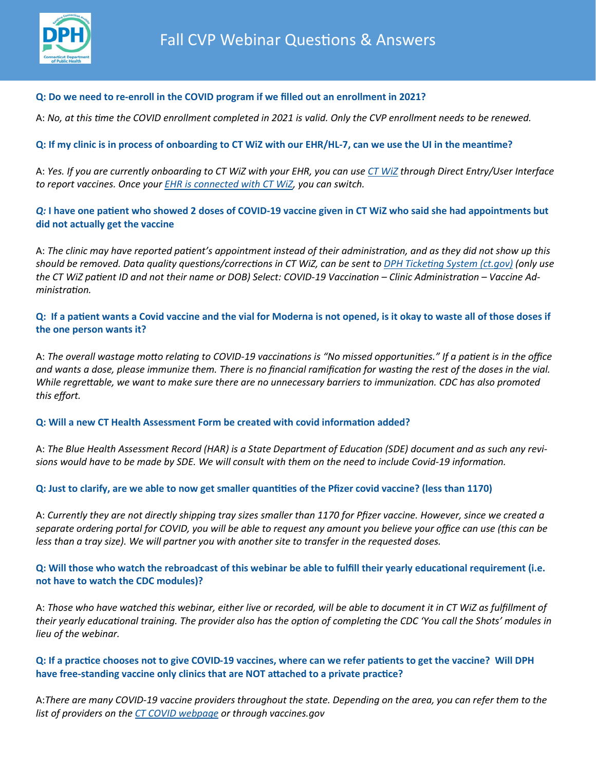

# **Q: Do we need to re-enroll in the COVID program if we filled out an enrollment in 2021?**

A: *No, at this time the COVID enrollment completed in 2021 is valid. Only the CVP enrollment needs to be renewed.*

# **Q: If my clinic is in process of onboarding to CT WiZ with our EHR/HL-7, can we use the UI in the meantime?**

A: *Yes. If you are currently onboarding to CT WiZ with your EHR, you can use [CT WiZ](https://portal.ct.gov/DPH/Immunizations/CT-WiZ-Training) through Direct Entry/User Interface to report vaccines. Once your [EHR is connected with CT WiZ,](https://portal.ct.gov/DPH/Immunizations/Electronic-Health-Record-Electronic-Exchange-With-CT-WiZ) you can switch.* 

# *Q:* **I have one patient who showed 2 doses of COVID-19 vaccine given in CT WiZ who said she had appointments but did not actually get the vaccine**

A: *The clinic may have reported patient's appointment instead of their administration, and as they did not show up this should be removed. Data quality questions/corrections in CT WiZ, can be sent to [DPH Ticketing System \(ct.gov\)](https://dph-cthelpdesk.ct.gov/Ticket) (only use the CT WiZ patient ID and not their name or DOB) Select: COVID-19 Vaccination – Clinic Administration – Vaccine Administration.*

# **Q: If a patient wants a Covid vaccine and the vial for Moderna is not opened, is it okay to waste all of those doses if the one person wants it?**

A: *The overall wastage motto relating to COVID-19 vaccinations is "No missed opportunities." If a patient is in the office and wants a dose, please immunize them. There is no financial ramification for wasting the rest of the doses in the vial. While regrettable, we want to make sure there are no unnecessary barriers to immunization. CDC has also promoted this effort.*

#### **Q: Will a new CT Health Assessment Form be created with covid information added?**

A: *The Blue Health Assessment Record (HAR) is a State Department of Education (SDE) document and as such any revisions would have to be made by SDE. We will consult with them on the need to include Covid-19 information.* 

#### **Q: Just to clarify, are we able to now get smaller quantities of the Pfizer covid vaccine? (less than 1170)**

A: *Currently they are not directly shipping tray sizes smaller than 1170 for Pfizer vaccine. However, since we created a separate ordering portal for COVID, you will be able to request any amount you believe your office can use (this can be less than a tray size). We will partner you with another site to transfer in the requested doses.* 

# **Q: Will those who watch the rebroadcast of this webinar be able to fulfill their yearly educational requirement (i.e. not have to watch the CDC modules)?**

A: *Those who have watched this webinar, either live or recorded, will be able to document it in CT WiZ as fulfillment of their yearly educational training. The provider also has the option of completing the CDC 'You call the Shots' modules in lieu of the webinar.* 

# **Q: If a practice chooses not to give COVID-19 vaccines, where can we refer patients to get the vaccine? Will DPH have free-standing vaccine only clinics that are NOT attached to a private practice?**

A:*There are many COVID-19 vaccine providers throughout the state. Depending on the area, you can refer them to the list of providers on the [CT COVID webpage](https://portal.ct.gov/Vaccine-Portal?language=en_US) or through vaccines.gov*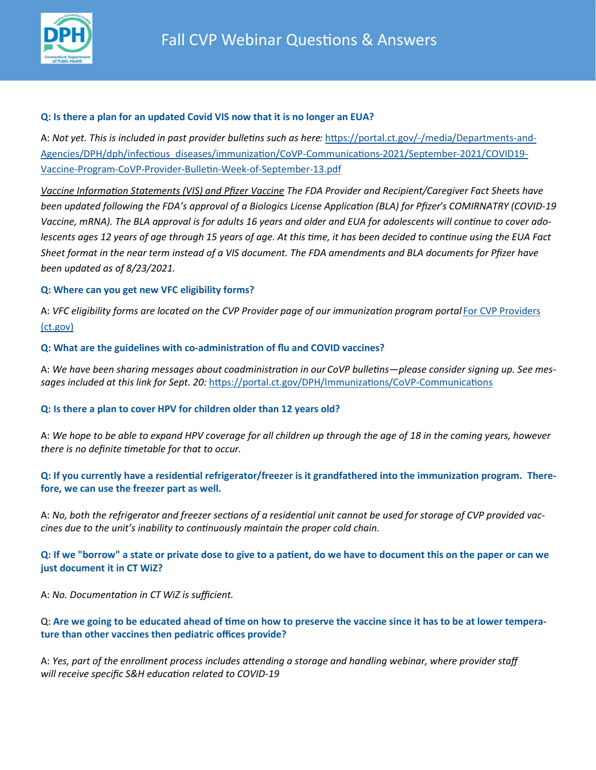

#### **Q: Is there a plan for an updated Covid VIS now that it is no longer an EUA?**

A: *Not yet. This is included in past provider bulletins such as here:* https://portal.ct.gov/-[/media/Departments](https://portal.ct.gov/-/media/Departments-and-Agencies/DPH/dph/infectious_diseases/immunization/CoVP-Communications-2021/September-2021/COVID19-Vaccine-Program-CoVP-Provider-Bulletin-Week-of-September-13.pdf)-and-[Agencies/DPH/dph/infectious\\_diseases/immunization/CoVP](https://portal.ct.gov/-/media/Departments-and-Agencies/DPH/dph/infectious_diseases/immunization/CoVP-Communications-2021/September-2021/COVID19-Vaccine-Program-CoVP-Provider-Bulletin-Week-of-September-13.pdf)-Communications-2021/September-2021/COVID19- Vaccine-Program-CoVP-Provider-Bulletin-Week-of-[September](https://portal.ct.gov/-/media/Departments-and-Agencies/DPH/dph/infectious_diseases/immunization/CoVP-Communications-2021/September-2021/COVID19-Vaccine-Program-CoVP-Provider-Bulletin-Week-of-September-13.pdf)-13.pdf

*Vaccine Information Statements (VIS) and Pfizer Vaccine The FDA Provider and Recipient/Caregiver Fact Sheets have been updated following the FDA's approval of a Biologics License Application (BLA) for Pfizer's COMIRNATRY (COVID-19 Vaccine, mRNA). The BLA approval is for adults 16 years and older and EUA for adolescents will continue to cover adolescents ages 12 years of age through 15 years of age. At this time, it has been decided to continue using the EUA Fact Sheet format in the near term instead of a VIS document. The FDA amendments and BLA documents for Pfizer have been updated as of 8/23/2021.*

# **Q: Where can you get new VFC eligibility forms?**

A: *VFC eligibility forms are located on the CVP Provider page of our immunization program portal* [For CVP Providers](https://portal.ct.gov/DPH/Immunizations/CVP---Information-for-Providers)  [\(ct.gov\)](https://portal.ct.gov/DPH/Immunizations/CVP---Information-for-Providers)

# **Q: What are the guidelines with co-administration of flu and COVID vaccines?**

A: *We have been sharing messages about coadministration in our CoVP bulletins—please consider signing up. See messages included at this link for Sept. 20:* [https://portal.ct.gov/DPH/Immunizations/CoVP](https://portal.ct.gov/DPH/Immunizations/CoVP-Communications)-Communications

# **Q: Is there a plan to cover HPV for children older than 12 years old?**

A: *We hope to be able to expand HPV coverage for all children up through the age of 18 in the coming years, however there is no definite timetable for that to occur.*

**Q: If you currently have a residential refrigerator/freezer is it grandfathered into the immunization program. Therefore, we can use the freezer part as well.**

A: *No, both the refrigerator and freezer sections of a residential unit cannot be used for storage of CVP provided vaccines due to the unit's inability to continuously maintain the proper cold chain.* 

**Q: If we "borrow" a state or private dose to give to a patient, do we have to document this on the paper or can we just document it in CT WiZ?**

A: *No. Documentation in CT WiZ is sufficient.*

Q: **Are we going to be educated ahead of time on how to preserve the vaccine since it has to be at lower temperature than other vaccines then pediatric offices provide?**

A: *Yes, part of the enrollment process includes attending a storage and handling webinar, where provider staff will receive specific S&H education related to COVID-19*